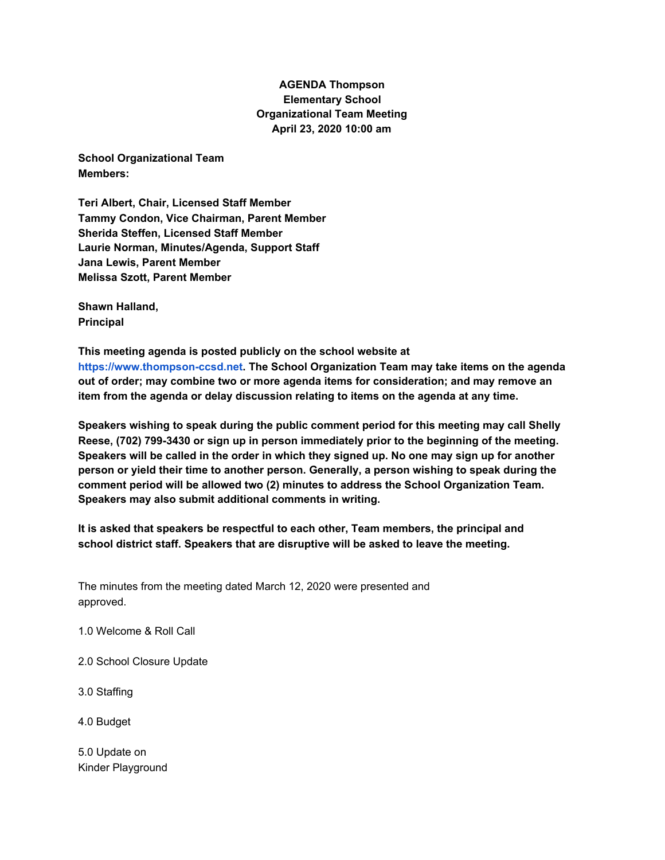## **AGENDA Thompson Elementary School Organizational Team Meeting April 23, 2020 10:00 am**

**School Organizational Team Members:**

**Teri Albert, Chair, Licensed Staff Member Tammy Condon, Vice Chairman, Parent Member Sherida Steffen, Licensed Staff Member Laurie Norman, Minutes/Agenda, Support Staff Jana Lewis, Parent Member Melissa Szott, Parent Member**

**Shawn Halland, Principal**

**This meeting agenda is posted publicly on the school website at https://www.thompson-ccsd.net. The School Organization Team may take items on the agenda out of order; may combine two or more agenda items for consideration; and may remove an item from the agenda or delay discussion relating to items on the agenda at any time.**

**Speakers wishing to speak during the public comment period for this meeting may call Shelly Reese, (702) 799-3430 or sign up in person immediately prior to the beginning of the meeting.** Speakers will be called in the order in which they signed up. No one may sign up for another **person or yield their time to another person. Generally, a person wishing to speak during the comment period will be allowed two (2) minutes to address the School Organization Team. Speakers may also submit additional comments in writing.**

**It is asked that speakers be respectful to each other, Team members, the principal and school district staff. Speakers that are disruptive will be asked to leave the meeting.**

The minutes from the meeting dated March 12, 2020 were presented and approved.

1.0 Welcome & Roll Call

2.0 School Closure Update

3.0 Staffing

4.0 Budget

5.0 Update on Kinder Playground